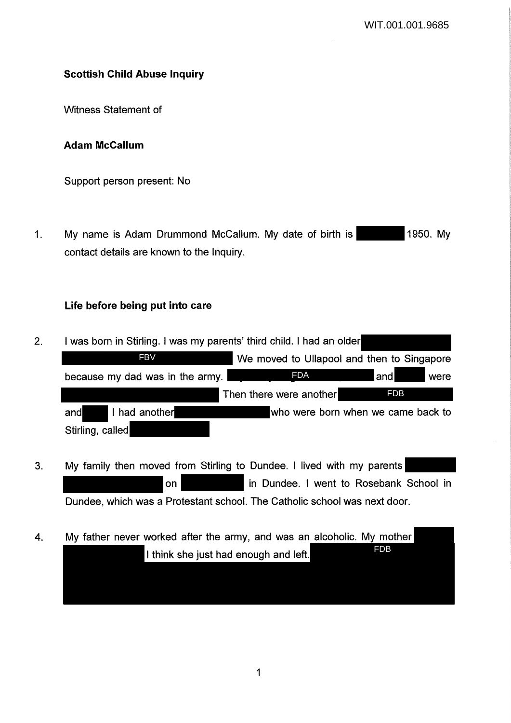# **Scottish Child Abuse Inquiry**

Witness Statement of

### **Adam McCallum**

Support person present: No

1. My name is Adam Drummond McCallum. My date of birth is 1950. My contact details are known to the Inquiry.

## **Life before being put into care**

- 2. I was born in Stirling. I was my parents' third child. I had an older We moved to Ullapool and then to Singapore because my dad was in the army.  $PDA$  and were Then there were another and I had another who were born when we came back to Stirling, called FDA and FDB **FBV**
- 3. My family then moved from Stirling to Dundee. I lived with my parents on **in Dundee. I went to Rosebank School in** Dundee, which was a Protestant school. The Catholic school was next door.
- 4. My father never worked after the army, and was an alcoholic. My mother I think she just had enough and left. FDB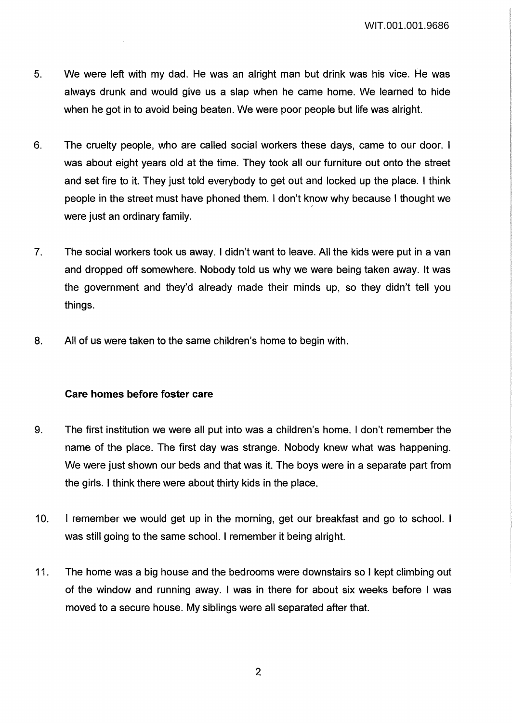WIT.001.001.9686

- 5. We were left with my dad. He was an alright man but drink was his vice. He was always drunk and would give us a slap when he came home. We learned to hide when he got in to avoid being beaten. We were poor people but life was alright.
- 6. The cruelty people, who are called social workers these days, came to our door. I was about eight years old at the time. They took all our furniture out onto the street and set fire to it. They just told everybody to get out and locked up the place. I think people in the street must have phoned them. I don't know why because I thought we were just an ordinary family.
- 7. The social workers took us away. I didn't want to leave. All the kids were put in a van and dropped off somewhere. Nobody told us why we were being taken away. It was the government and they'd already made their minds up, so they didn't tell you things.
- 8. All of us were taken to the same children's home to begin with.

# **Care homes before foster care**

- 9. The first institution we were all put into was a children's home. I don't remember the name of the place. The first day was strange. Nobody knew what was happening. We were just shown our beds and that was it. The boys were in a separate part from the girls. I think there were about thirty kids in the place.
- 10. I remember we would get up in the morning, get our breakfast and go to school. I was still going to the same school. I remember it being alright.
- 11. The home was a big house and the bedrooms were downstairs so I kept climbing out of the window and running away. I was in there for about six weeks before I was moved to a secure house. My siblings were all separated after that.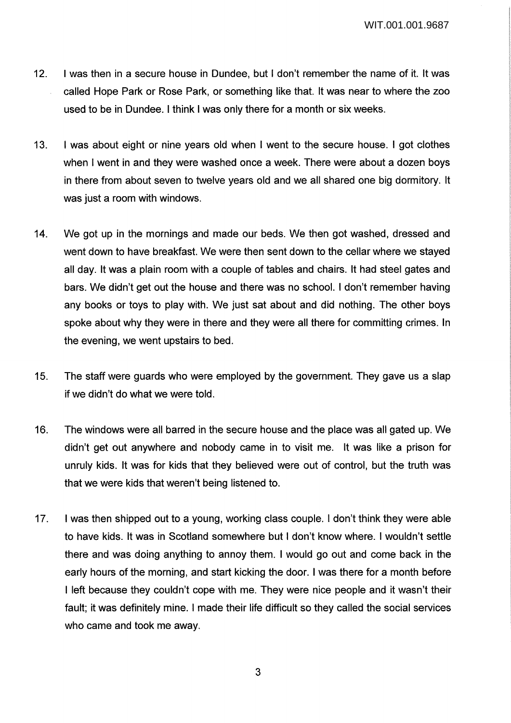- 12. I was then in a secure house in Dundee, but I don't remember the name of it. It was called Hope Park or Rose Park, or something like that. It was near to where the zoo used to be in Dundee. I think I was only there for a month or six weeks.
- 13. I was about eight or nine years old when I went to the secure house. I got clothes when I went in and they were washed once a week. There were about a dozen boys in there from about seven to twelve years old and we all shared one big dormitory. It was just a room with windows.
- 14. We got up in the mornings and made our beds. We then got washed, dressed and went down to have breakfast. We were then sent down to the cellar where we stayed all day. It was a plain room with a couple of tables and chairs. It had steel gates and bars. We didn't get out the house and there was no school. I don't remember having any books or toys to play with. We just sat about and did nothing. The other boys spoke about why they were in there and they were all there for committing crimes. In the evening, we went upstairs to bed.
- 15. The staff were guards who were employed by the government. They gave us a slap if we didn't do what we were told.
- 16. The windows were all barred in the secure house and the place was all gated up. We didn't get out anywhere and nobody came in to visit me. It was like a prison for unruly kids. It was for kids that they believed were out of control, but the truth was that we were kids that weren't being listened to.
- 17. I was then shipped out to a young, working class couple. I don't think they were able to have kids. It was in Scotland somewhere but I don't know where. I wouldn't settle there and was doing anything to annoy them. I would go out and come back in the early hours of the morning, and start kicking the door. I was there for a month before I left because they couldn't cope with me. They were nice people and it wasn't their fault; it was definitely mine. I made their life difficult so they called the social services who came and took me away.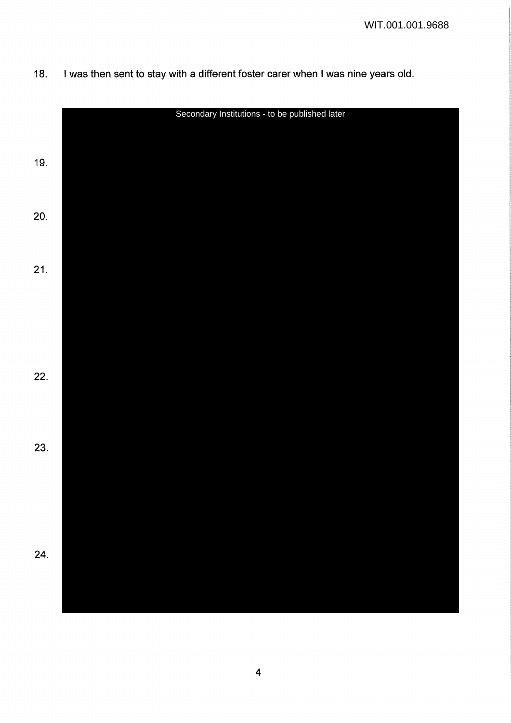|     | Secondary Institutions - to be published later |
|-----|------------------------------------------------|
|     |                                                |
| 19. |                                                |
|     |                                                |
|     |                                                |
| 20. |                                                |
|     |                                                |
|     |                                                |
| 21. |                                                |
|     |                                                |
|     |                                                |
|     |                                                |
|     |                                                |
| 22. |                                                |
|     |                                                |
|     |                                                |
|     |                                                |
| 23. |                                                |
|     |                                                |
|     |                                                |
|     |                                                |
|     |                                                |
| 24. |                                                |
|     |                                                |
|     |                                                |

18. I was then sent to stay with a different foster carer when I was nine years old.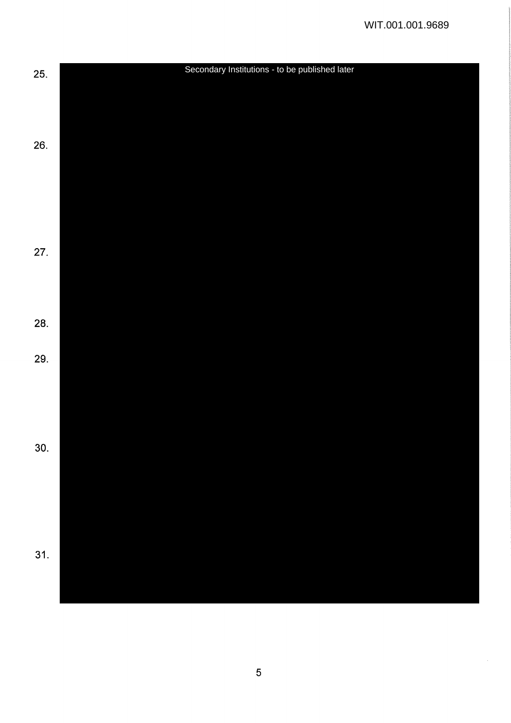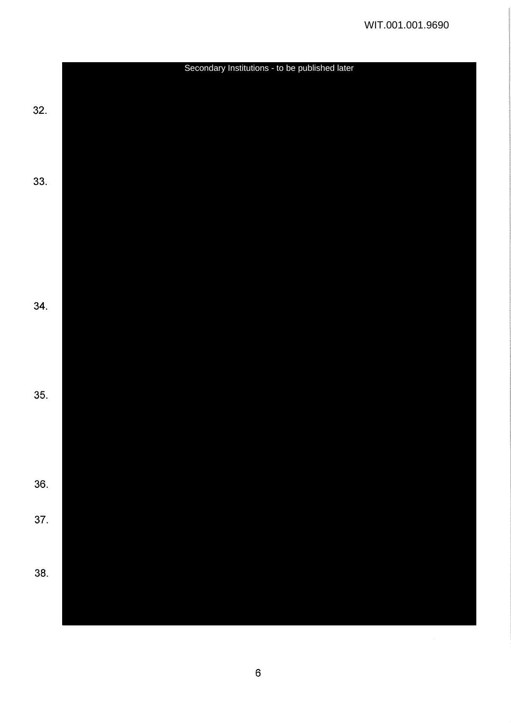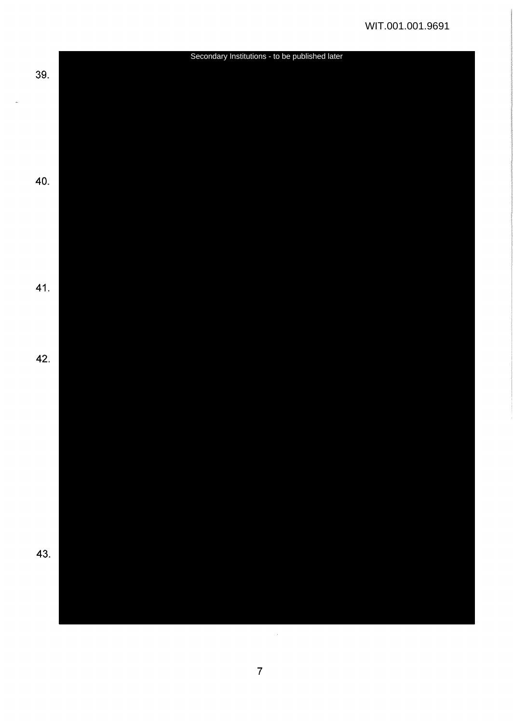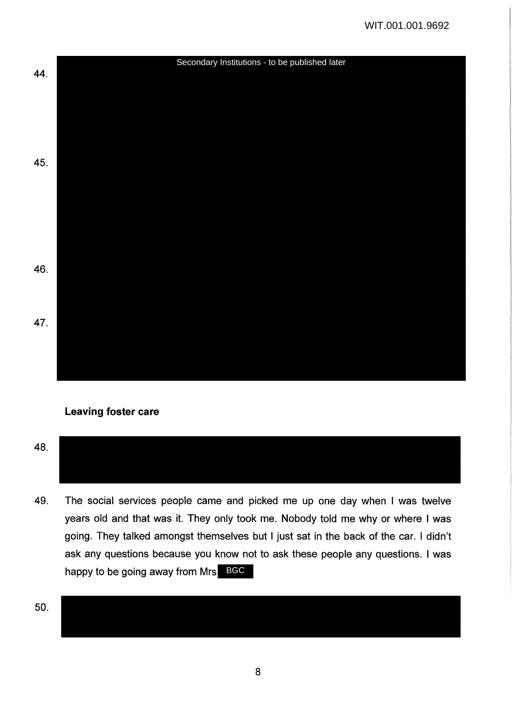

## **Leaving foster care**

48.

49. The social services people came and picked me up one day when I was twelve years old and that was it. They only took me. Nobody told me why or where I was going. They talked amongst themselves but I just sat in the back of the car. I didn't ask any questions because you know not to ask these people any questions. I was happy to be going away from Mrs BGC

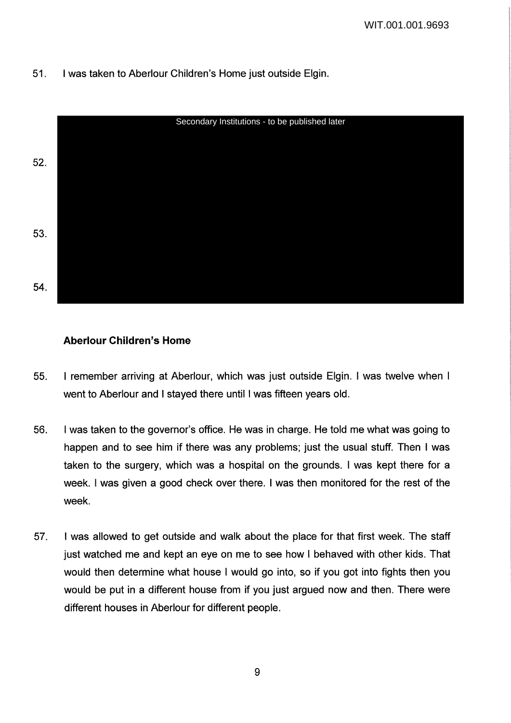# 51. I was taken to Aberlour Children's Home just outside Elgin.



## **Aberlour Children's Home**

- 55. I remember arriving at Aberlour, which was just outside Elgin. I was twelve when I went to Aberlour and I stayed there until I was fifteen years old.
- 56. I was taken to the governor's office. He was in charge. He told me what was going to happen and to see him if there was any problems; just the usual stuff. Then I was taken to the surgery, which was a hospital on the grounds. I was kept there for a week. I was given a good check over there. I was then monitored for the rest of the week.
- 57. I was allowed to get outside and walk about the place for that first week. The staff just watched me and kept an eye on me to see how I behaved with other kids. That would then determine what house I would go into, so if you got into fights then you would be put in a different house from if you just argued now and then. There were different houses in Aberlour for different people.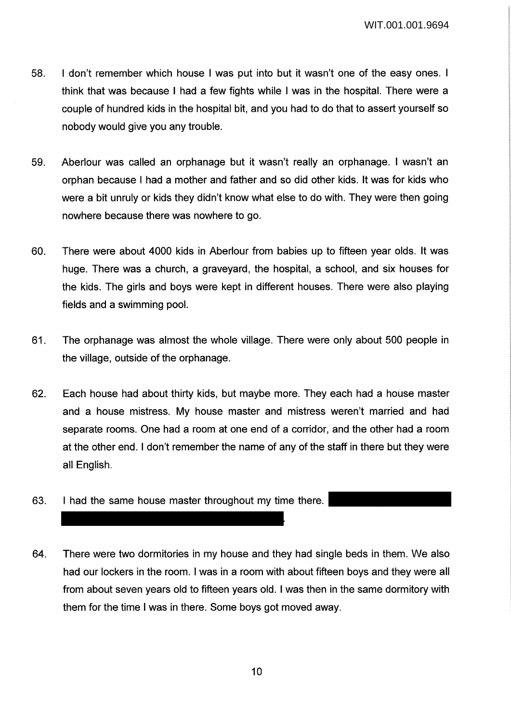- 58. I don't remember which house I was put into but it wasn't one of the easy ones. I think that was because I had a few fights while I was in the hospital. There were a couple of hundred kids in the hospital bit, and you had to do that to assert yourself so nobody would give you any trouble.
- 59. Aberlour was called an orphanage but it wasn't really an orphanage. I wasn't an orphan because I had a mother and father and so did other kids. It was for kids who were a bit unruly or kids they didn't know what else to do with. They were then going nowhere because there was nowhere to go.
- 60. There were about 4000 kids in Aberlour from babies up to fifteen year olds. It was huge. There was a church, a graveyard, the hospital, a school, and six houses for the kids. The girls and boys were kept in different houses. There were also playing fields and a swimming pool.
- 61. The orphanage was almost the whole village. There were only about 500 people in the village, outside of the orphanage.
- 62. Each house had about thirty kids, but maybe more. They each had a house master and a house mistress. My house master and mistress weren't married and had separate rooms. One had a room at one end of a corridor, and the other had a room at the other end. I don't remember the name of any of the staff in there but they were all English.
- 63. I had the same house master throughout my time there.
- 64. There were two dormitories in my house and they had single beds in them. We also had our lockers in the room. I was in a room with about fifteen boys and they were all from about seven years old to fifteen years old. I was then in the same dormitory with them for the time I was in there. Some boys got moved away.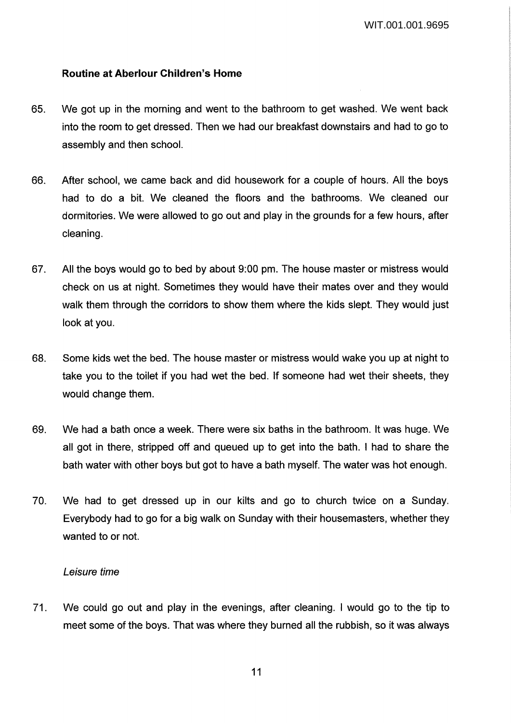## **Routine at Aberlour Children's Home**

- 65. We got up in the morning and went to the bathroom to get washed. We went back into the room to get dressed. Then we had our breakfast downstairs and had to go to assembly and then school.
- 66. After school, we came back and did housework for a couple of hours. All the boys had to do a bit. We cleaned the floors and the bathrooms. We cleaned our dormitories. We were allowed to go out and play in the grounds for a few hours, after cleaning.
- 67. All the boys would go to bed by about 9:00 pm. The house master or mistress would check on us at night. Sometimes they would have their mates over and they would walk them through the corridors to show them where the kids slept. They would just look at you.
- 68. Some kids wet the bed. The house master or mistress would wake you up at night to take you to the toilet if you had wet the bed. If someone had wet their sheets, they would change them.
- 69. We had a bath once a week. There were six baths in the bathroom. It was huge. We all got in there, stripped off and queued up to get into the bath. I had to share the bath water with other boys but got to have a bath myself. The water was hot enough.
- 70. We had to get dressed up in our kilts and go to church twice on a Sunday. Everybody had to go for a big walk on Sunday with their housemasters, whether they wanted to or not.

## Leisure time

71. We could go out and play in the evenings, after cleaning. I would go to the tip to meet some of the boys. That was where they burned all the rubbish, so it was always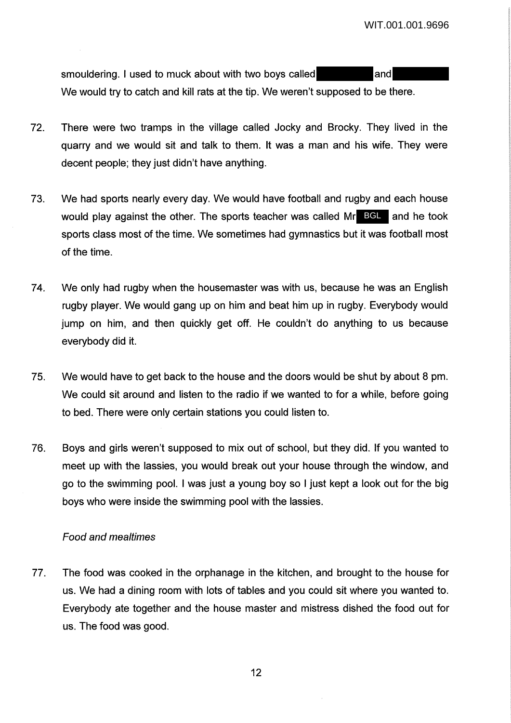smouldering. I used to muck about with two boys called and We would try to catch and kill rats at the tip. We weren't supposed to be there.

- 72. There were two tramps in the village called Jocky and Brocky. They lived in the quarry and we would sit and talk to them. It was a man and his wife. They were decent people; they just didn't have anything.
- 73. We had sports nearly every day. We would have football and rugby and each house would play against the other. The sports teacher was called Mr BCL and he took sports class most of the time. We sometimes had gymnastics but it was football most of the time.
- 74. We only had rugby when the housemaster was with us, because he was an English rugby player. We would gang up on him and beat him up in rugby. Everybody would jump on him, and then quickly get off. He couldn't do anything to us because everybody did it.
- 75. We would have to get back to the house and the doors would be shut by about 8 pm. We could sit around and listen to the radio if we wanted to for a while, before going to bed. There were only certain stations you could listen to.
- 76. Boys and girls weren't supposed to mix out of school, but they did. If you wanted to meet up with the lassies, you would break out your house through the window, and go to the swimming pool. I was just a young boy so I just kept a look out for the big boys who were inside the swimming pool with the lassies.

## Food and mealtimes

77. The food was cooked in the orphanage in the kitchen, and brought to the house for us. We had a dining room with lots of tables and you could sit where you wanted to. Everybody ate together and the house master and mistress dished the food out for us. The food was good.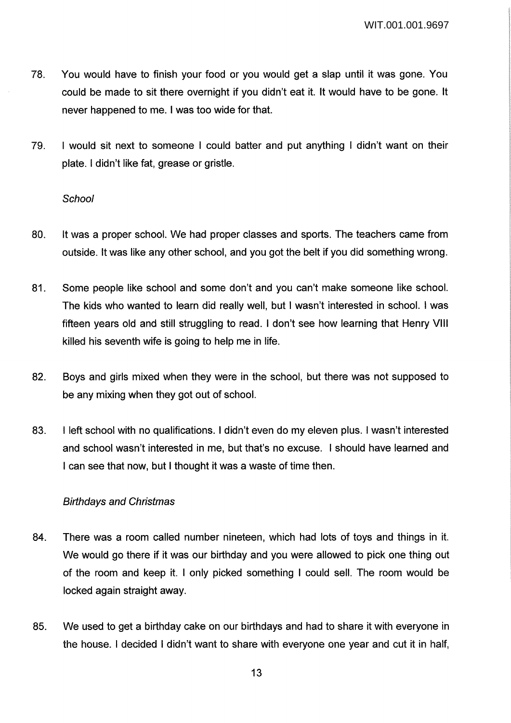- 78. You would have to finish your food or you would get a slap until it was gone. You could be made to sit there overnight if you didn't eat it. It would have to be gone. It never happened to me. I was too wide for that.
- 79. I would sit next to someone I could batter and put anything I didn't want on their plate. I didn't like fat, grease or gristle.

#### **School**

- 80. It was a proper school. We had proper classes and sports. The teachers came from outside. It was like any other school, and you got the belt if you did something wrong.
- 81. Some people like school and some don't and you can't make someone like school. The kids who wanted to learn did really well, but I wasn't interested in school. I was fifteen years old and still struggling to read. I don't see how learning that Henry VIII killed his seventh wife is going to help me in life.
- 82. Boys and girls mixed when they were in the school, but there was not supposed to be any mixing when they got out of school.
- 83. I left school with no qualifications. I didn't even do my eleven plus. I wasn't interested and school wasn't interested in me, but that's no excuse. I should have learned and I can see that now, but I thought it was a waste of time then.

## Birthdays and Christmas

- 84. There was a room called number nineteen, which had lots of toys and things in it. We would go there if it was our birthday and you were allowed to pick one thing out of the room and keep it. I only picked something I could sell. The room would be locked again straight away.
- 85. We used to get a birthday cake on our birthdays and had to share it with everyone in the house. I decided I didn't want to share with everyone one year and cut it in half,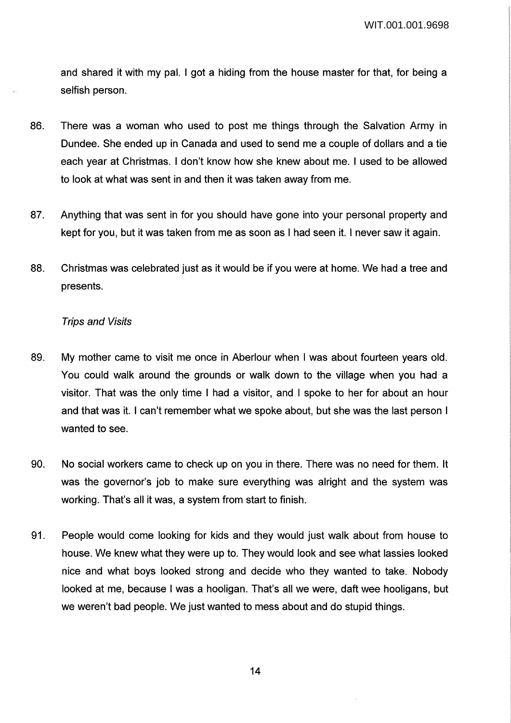and shared it with my pal. I got a hiding from the house master for that, for being a selfish person.

- 86. There was a woman who used to post me things through the Salvation Army in Dundee. She ended up in Canada and used to send me a couple of dollars and a tie each year at Christmas. I don't know how she knew about me. I used to be allowed to look at what was sent in and then it was taken away from me.
- 87. Anything that was sent in for you should have gone into your personal property and kept for you, but it was taken from me as soon as I had seen it. I never saw it again.
- 88. Christmas was celebrated just as it would be if you were at home. We had a tree and presents.

#### Trips and Visits

- 89. My mother came to visit me once in Aberlour when I was about fourteen years old. You could walk around the grounds or walk down to the village when you had a visitor. That was the only time I had a visitor, and I spoke to her for about an hour and that was it. I can't remember what we spoke about, but she was the last person I wanted to see.
- 90. No social workers came to check up on you in there. There was no need for them. It was the governor's job to make sure everything was alright and the system was working. That's all it was, a system from start to finish.
- 91. People would come looking for kids and they would just walk about from house to house. We knew what they were up to. They would look and see what lassies looked nice and what boys looked strong and decide who they wanted to take. Nobody looked at me, because I was a hooligan. That's all we were, daft wee hooligans, but we weren't bad people. We just wanted to mess about and do stupid things.

14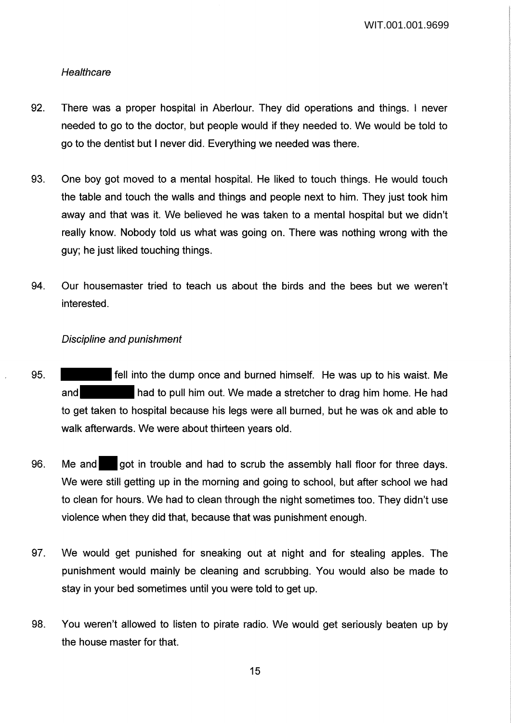WIT.001.001.9699

### **Healthcare**

- 92. There was a proper hospital in Aberlour. They did operations and things. I never needed to go to the doctor, but people would if they needed to. We would be told to go to the dentist but I never did. Everything we needed was there.
- 93. One boy got moved to a mental hospital. He liked to touch things. He would touch the table and touch the walls and things and people next to him. They just took him away and that was it. We believed he was taken to a mental hospital but we didn't really know. Nobody told us what was going on. There was nothing wrong with the guy; he just liked touching things.
- 94. Our housemaster tried to teach us about the birds and the bees but we weren't interested.

### Discipline and punishment

- 95. fell into the dump once and burned himself. He was up to his waist. Me and **had to pull him out. We made a stretcher to drag him home. He had** to get taken to hospital because his legs were all burned, but he was ok and able to walk afterwards. We were about thirteen years old.
- 96. Me and got in trouble and had to scrub the assembly hall floor for three days. We were still getting up in the morning and going to school, but after school we had to clean for hours. We had to clean through the night sometimes too. They didn't use violence when they did that, because that was punishment enough.
- 97. We would get punished for sneaking out at night and for stealing apples. The punishment would mainly be cleaning and scrubbing. You would also be made to stay in your bed sometimes until you were told to get up.
- 98. You weren't allowed to listen to pirate radio. We would get seriously beaten up by the house master for that.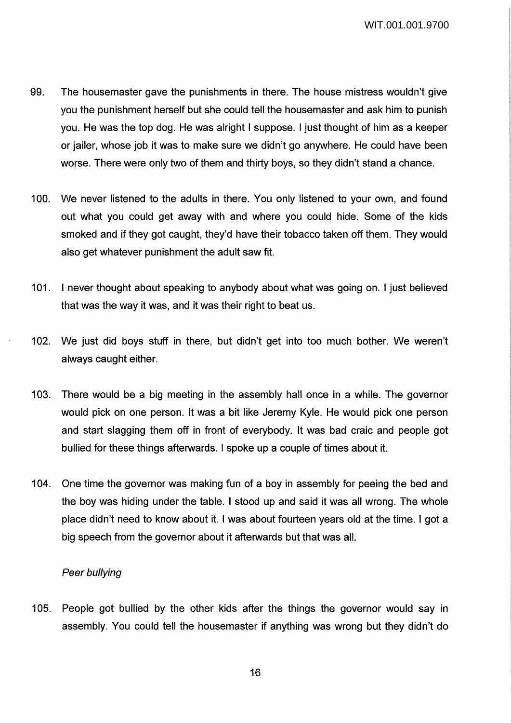WIT.001.001.9700

- 99. The housemaster gave the punishments in there. The house mistress wouldn't give you the punishment herself but she could tell the housemaster and ask him to punish you. He was the top dog. He was alright I suppose. I just thought of him as a keeper or jailer, whose job it was to make sure we didn't go anywhere. He could have been worse. There were only two of them and thirty boys, so they didn't stand a chance.
- 100. We never listened to the adults in there. You only listened to your own, and found out what you could get away with and where you could hide. Some of the kids smoked and if they got caught, they'd have their tobacco taken off them. They would also get whatever punishment the adult saw fit.
- 101. I never thought about speaking to anybody about what was going on. I just believed that was the way it was, and it was their right to beat us.
- 102. We just did boys stuff in there, but didn't get into too much bother. We weren't always caught either.
- 103. There would be a big meeting in the assembly hall once in a while. The governor would pick on one person. It was a bit like Jeremy Kyle. He would pick one person and start slagging them off in front of everybody. It was bad craic and people got bullied for these things afterwards. I spoke up a couple of times about it.
- 104. One time the governor was making fun of a boy in assembly for peeing the bed and the boy was hiding under the table. I stood up and said it was all wrong. The whole place didn't need to know about it. I was about fourteen years old at the time. I got a big speech from the governor about it afterwards but that was all.

#### Peer bullying

105. People got bullied by the other kids after the things the governor would say in assembly. You could tell the housemaster if anything was wrong but they didn't do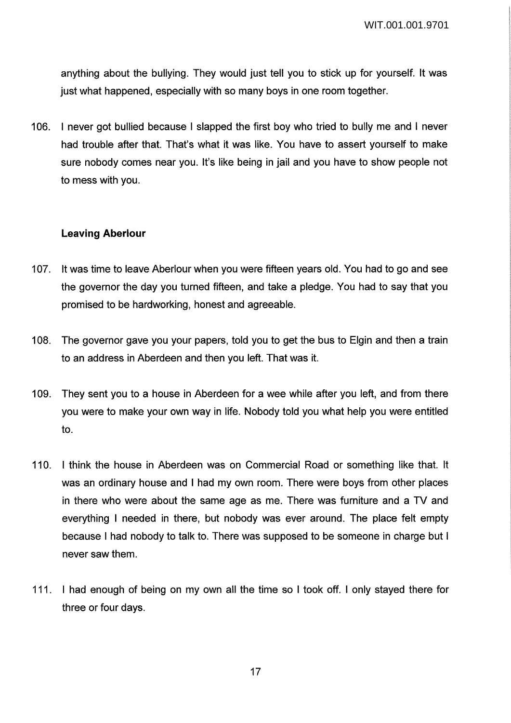anything about the bullying. They would just tell you to stick up for yourself. It was just what happened, especially with so many boys in one room together.

106. I never got bullied because I slapped the first boy who tried to bully me and I never had trouble after that. That's what it was like. You have to assert yourself to make sure nobody comes near you. It's like being in jail and you have to show people not to mess with you.

### **Leaving Aberlour**

- 107. It was time to leave Aberlour when you were fifteen years old. You had to go and see the governor the day you turned fifteen, and take a pledge. You had to say that you promised to be hardworking, honest and agreeable.
- 108. The governor gave you your papers, told you to get the bus to Elgin and then a train to an address in Aberdeen and then you left. That was it.
- 109. They sent you to a house in Aberdeen for a wee while after you left, and from there you were to make your own way in life. Nobody told you what help you were entitled to.
- 110. I think the house in Aberdeen was on Commercial Road or something like that. It was an ordinary house and I had my own room. There were boys from other places in there who were about the same age as me. There was furniture and a TV and everything I needed in there, but nobody was ever around. The place felt empty because I had nobody to talk to. There was supposed to be someone in charge but I never saw them.
- 111. I had enough of being on my own all the time so I took off. I only stayed there for three or four days.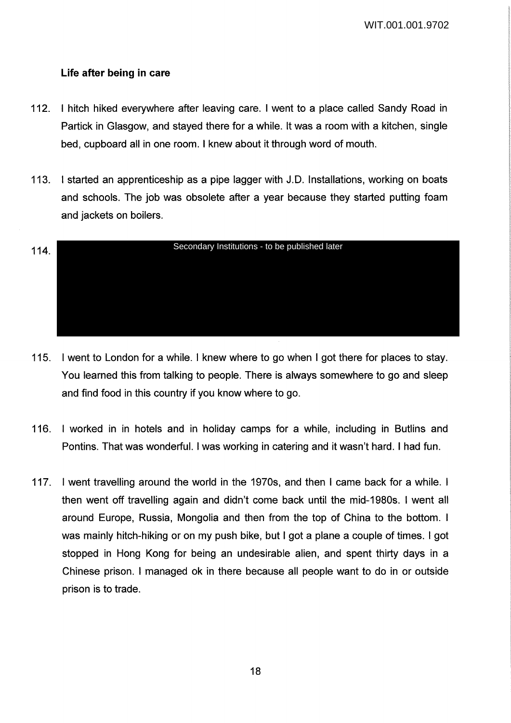## **Life after being in care**

- 112. I hitch hiked everywhere after leaving care. I went to a place called Sandy Road in Partick in Glasgow, and stayed there for a while. It was a room with a kitchen, single bed, cupboard all in one room. I knew about it through word of mouth.
- 113. I started an apprenticeship as a pipe lagger with J.D. Installations, working on boats and schools. The job was obsolete after a year because they started putting foam and jackets on boilers.

![](_page_17_Figure_4.jpeg)

- 115. I went to London for a while. I knew where to go when I got there for places to stay. You learned this from talking to people. There is always somewhere to go and sleep and find food in this country if you know where to go.
- 116. I worked in in hotels and in holiday camps for a while, including in Butlins and Pontins. That was wonderful. I was working in catering and it wasn't hard. I had fun.
- 117. I went travelling around the world in the 1970s, and then I came back for a while. I then went off travelling again and didn't come back until the mid-1980s. I went all around Europe, Russia, Mongolia and then from the top of China to the bottom. I was mainly hitch-hiking or on my push bike, but I got a plane a couple of times. I got stopped in Hong Kong for being an undesirable alien, and spent thirty days in a Chinese prison. I managed ok in there because all people want to do in or outside prison is to trade.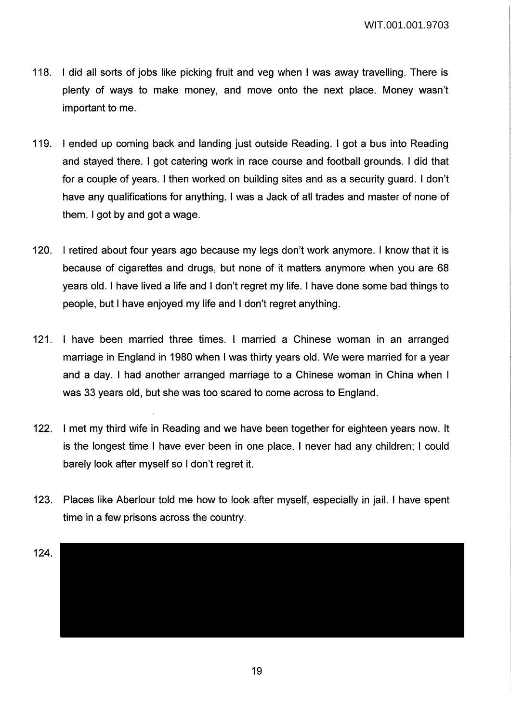- 118. I did all sorts of jobs like picking fruit and veg when I was away travelling. There is plenty of ways to make money, and move onto the next place. Money wasn't important to me.
- 119. I ended up coming back and landing just outside Reading. I got a bus into Reading and stayed there. I got catering work in race course and football grounds. I did that for a couple of years. I then worked on building sites and as a security guard. I don't have any qualifications for anything. I was a Jack of all trades and master of none of them. I got by and got a wage.
- 120. I retired about four years ago because my legs don't work anymore. I know that it is because of cigarettes and drugs, but none of it matters anymore when you are 68 years old. I have lived a life and I don't regret my life. I have done some bad things to people, but I have enjoyed my life and I don't regret anything.
- 121. I have been married three times. I married a Chinese woman in an arranged marriage in England in 1980 when I was thirty years old. We were married for a year and a day. I had another arranged marriage to a Chinese woman in China when I was 33 years old, but she was too scared to come across to England.
- 122. I met my third wife in Reading and we have been together for eighteen years now. It is the longest time I have ever been in one place. I never had any children; I could barely look after myself so I don't regret it.
- 123. Places like Aberlour told me how to look after myself, especially in jail. I have spent time in a few prisons across the country.

![](_page_18_Figure_7.jpeg)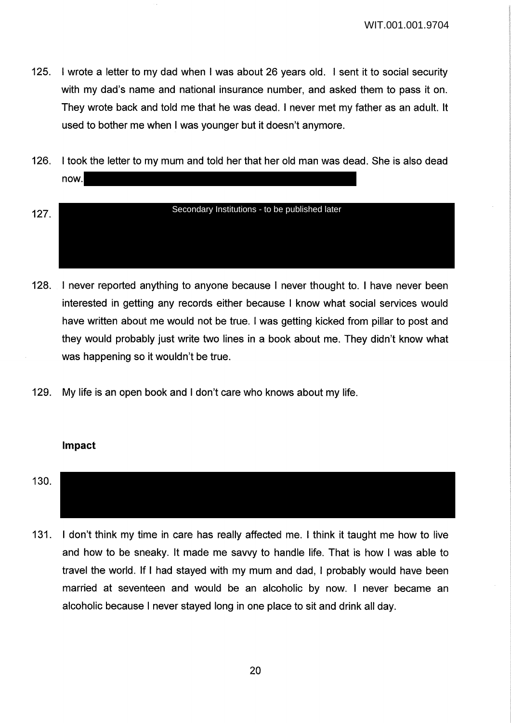- 125. I wrote a letter to my dad when I was about 26 years old. I sent it to social security with my dad's name and national insurance number, and asked them to pass it on. They wrote back and told me that he was dead. I never met my father as an adult. It used to bother me when I was younger but it doesn't anymore.
- 126. I took the letter to my mum and told her that her old man was dead. She is also dead now.
- 127. Secondary Institutions - to be published later
- 128. I never reported anything to anyone because I never thought to. I have never been interested in getting any records either because I know what social services would have written about me would not be true. I was getting kicked from pillar to post and they would probably just write two lines in a book about me. They didn't know what was happening so it wouldn't be true.
- 129. My life is an open book and I don't care who knows about my life.

#### **Impact**

- 130.
- 131. I don't think my time in care has really affected me. I think it taught me how to live and how to be sneaky. It made me savvy to handle life. That is how I was able to travel the world. If I had stayed with my mum and dad, I probably would have been married at seventeen and would be an alcoholic by now. I never became an alcoholic because I never stayed long in one place to sit and drink all day.